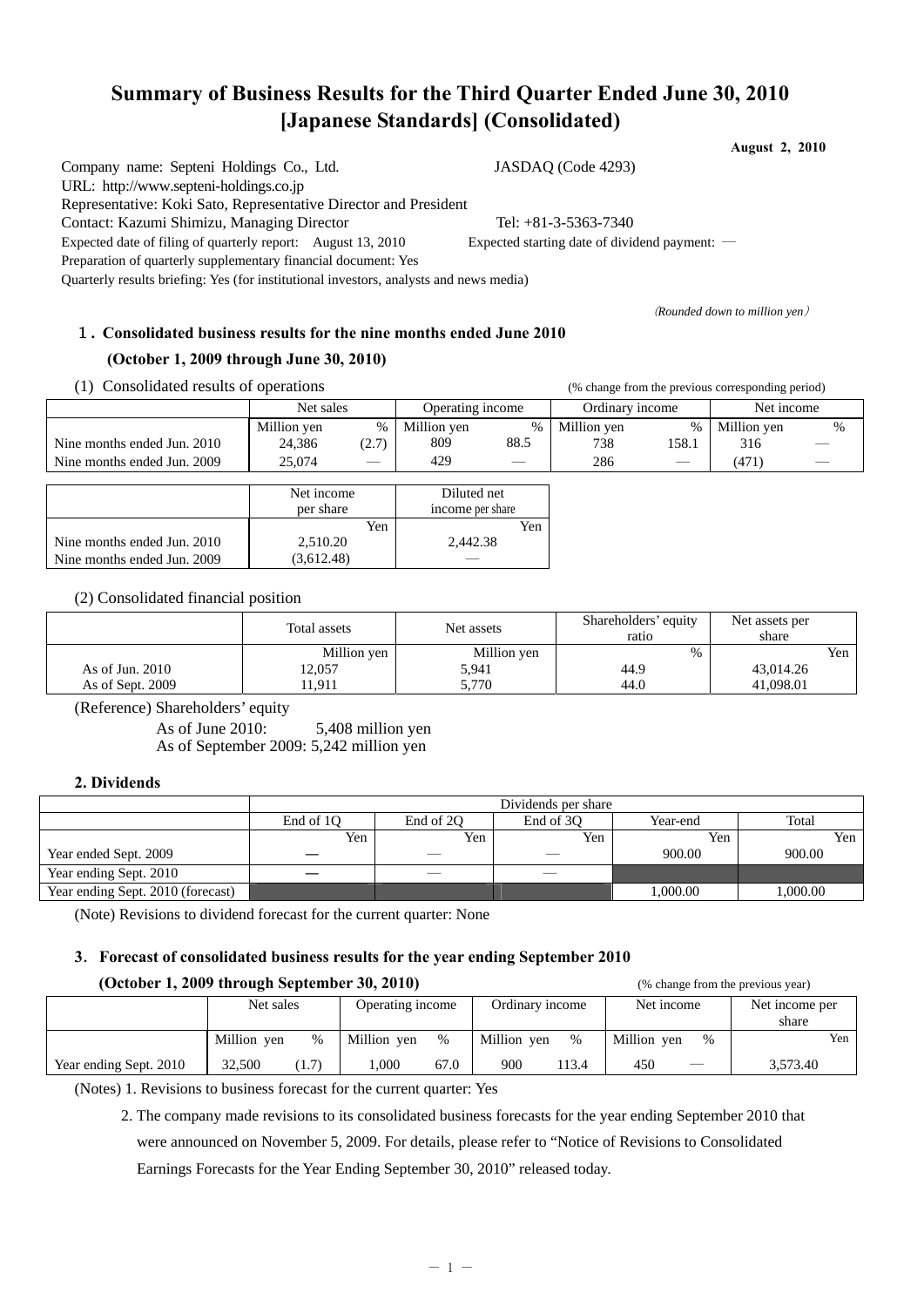# **Summary of Business Results for the Third Quarter Ended June 30, 2010 [Japanese Standards] (Consolidated)**

**August 2, 2010** 

Company name: Septeni Holdings Co., Ltd. JASDAQ (Code 4293) URL: http://www.septeni-holdings.co.jp Representative: Koki Sato, Representative Director and President Contact: Kazumi Shimizu, Managing Director Tel: +81-3-5363-7340 Expected date of filing of quarterly report: August 13, 2010 Expected starting date of dividend payment: ―

(*Rounded down to million yen*)

# 1**. Consolidated business results for the nine months ended June 2010**

Quarterly results briefing: Yes (for institutional investors, analysts and news media)

## **(October 1, 2009 through June 30, 2010)**

Preparation of quarterly supplementary financial document: Yes

(1) Consolidated results of operations (% change from the previous corresponding period)

| $\mathbf{1}$<br>Consondated results of operations | $\alpha$ change from the previous corresponding period. |                   |                  |      |                 |                 |             |                                |
|---------------------------------------------------|---------------------------------------------------------|-------------------|------------------|------|-----------------|-----------------|-------------|--------------------------------|
|                                                   | Net sales                                               |                   | Operating income |      | Ordinary income |                 | Net income  |                                |
|                                                   | Million yen                                             | $\%$              | Million yen      | $\%$ | Million yen     | $\%$            | Million yen | %                              |
| Nine months ended Jun. 2010                       | 24,386                                                  | (2.7)             | 809              | 88.5 | 738             | 158.1           | 316         | $\overbrace{\hspace{27mm}}^{}$ |
| Nine months ended Jun. 2009                       | 25,074                                                  | $\hspace{0.05cm}$ | 429              |      | 286             | $\qquad \qquad$ | (471)       | $\hspace{0.05cm}$              |
|                                                   |                                                         |                   |                  |      |                 |                 |             |                                |
|                                                   | Net income                                              |                   | Diluted net      |      |                 |                 |             |                                |

|                             | .          | .                |
|-----------------------------|------------|------------------|
|                             | per share  | income per share |
|                             | Yen        | Yen              |
| Nine months ended Jun. 2010 | 2.510.20   | 2.442.38         |
| Nine months ended Jun. 2009 | (3.612.48) |                  |

(2) Consolidated financial position

|                   | Total assets | Net assets  | Shareholders' equity<br>ratıo | Net assets per<br>share |
|-------------------|--------------|-------------|-------------------------------|-------------------------|
|                   | Million yen  | Million yen | $\%$                          | Yen                     |
| As of Jun. $2010$ | 12,057       | 5.941       | 44.9                          | 43,014.26               |
| As of Sept. 2009  | !1.911       | 5.770       | 44.0                          | 41,098.01               |

(Reference) Shareholders' equity

As of June 2010: 5,408 million yen As of September 2009: 5,242 million yen

### **2. Dividends**

|                                   | Dividends per share |           |           |          |         |  |  |  |  |  |
|-----------------------------------|---------------------|-----------|-----------|----------|---------|--|--|--|--|--|
|                                   | End of 10           | End of 20 | End of 30 | Year-end | Total   |  |  |  |  |  |
|                                   | Yen                 | Yen       | Yen       | Yen      | Yen 1   |  |  |  |  |  |
| Year ended Sept. 2009             |                     |           |           | 900.00   | 900.00  |  |  |  |  |  |
| Year ending Sept. 2010            |                     |           | --        |          |         |  |  |  |  |  |
| Year ending Sept. 2010 (forecast) |                     |           |           | .000.00  | .000.00 |  |  |  |  |  |

(Note) Revisions to dividend forecast for the current quarter: None

### **3**.**Forecast of consolidated business results for the year ending September 2010**

## **(October 1, 2009 through September 30, 2010)** (% change from the previous year)

|                        |             |               |                  |      |                 |       |             | .                 |                |     |  |
|------------------------|-------------|---------------|------------------|------|-----------------|-------|-------------|-------------------|----------------|-----|--|
|                        | Net sales   |               | Operating income |      | Ordinary income |       | Net income  |                   | Net income per |     |  |
|                        |             |               |                  |      |                 |       |             |                   | share          |     |  |
|                        | Million ven | $\frac{0}{0}$ | Million ven      | $\%$ | Million ven     | $\%$  | Million ven | $\%$              |                | Yen |  |
| Year ending Sept. 2010 | 32.500      | (1.7)         | .000             | 67.0 | 900             | 113.4 | 450         | $\hspace{0.05cm}$ | 3.573.40       |     |  |

(Notes) 1. Revisions to business forecast for the current quarter: Yes

 2. The company made revisions to its consolidated business forecasts for the year ending September 2010 that were announced on November 5, 2009. For details, please refer to "Notice of Revisions to Consolidated Earnings Forecasts for the Year Ending September 30, 2010" released today.